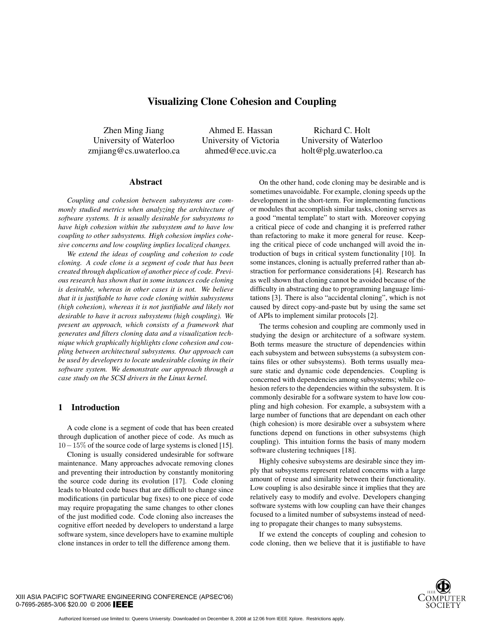# **Visualizing Clone Cohesion and Coupling**

Zhen Ming Jiang University of Waterloo zmjiang@cs.uwaterloo.ca

Ahmed E. Hassan University of Victoria ahmed@ece.uvic.ca

Richard C. Holt University of Waterloo holt@plg.uwaterloo.ca

### **Abstract**

*Coupling and cohesion between subsystems are commonly studied metrics when analyzing the architecture of software systems. It is usually desirable for subsystems to have high cohesion within the subsystem and to have low coupling to other subsystems. High cohesion implies cohesive concerns and low coupling implies localized changes.*

*We extend the ideas of coupling and cohesion to code cloning. A code clone is a segment of code that has been created through duplication of another piece of code. Previous research has shown that in some instances code cloning is desirable, whereas in other cases it is not. We believe that it is justifiable to have code cloning within subsystems (high cohesion), whereas it is not justifiable and likely not desirable to have it across subsystems (high coupling). We present an approach, which consists of a framework that generates and filters cloning data and a visualization technique which graphically highlights clone cohesion and coupling between architectural subsystems. Our approach can be used by developers to locate undesirable cloning in their software system. We demonstrate our approach through a case study on the SCSI drivers in the Linux kernel.*

### **1 Introduction**

A code clone is a segment of code that has been created through duplication of another piece of code. As much as 10*−*15% of the source code of large systems is cloned [15].

Cloning is usually considered undesirable for software maintenance. Many approaches advocate removing clones and preventing their introduction by constantly monitoring the source code during its evolution [17]. Code cloning leads to bloated code bases that are difficult to change since modifications (in particular bug fixes) to one piece of code may require propagating the same changes to other clones of the just modified code. Code cloning also increases the cognitive effort needed by developers to understand a large software system, since developers have to examine multiple clone instances in order to tell the difference among them.

On the other hand, code cloning may be desirable and is sometimes unavoidable. For example, cloning speeds up the development in the short-term. For implementing functions or modules that accomplish similar tasks, cloning serves as a good "mental template" to start with. Moreover copying a critical piece of code and changing it is preferred rather than refactoring to make it more general for reuse. Keeping the critical piece of code unchanged will avoid the introduction of bugs in critical system functionality [10]. In some instances, cloning is actually preferred rather than abstraction for performance considerations [4]. Research has as well shown that cloning cannot be avoided because of the difficulty in abstracting due to programming language limitations [3]. There is also "accidental cloning", which is not caused by direct copy-and-paste but by using the same set of APIs to implement similar protocols [2].

The terms cohesion and coupling are commonly used in studying the design or architecture of a software system. Both terms measure the structure of dependencies within each subsystem and between subsystems (a subsystem contains files or other subsystems). Both terms usually measure static and dynamic code dependencies. Coupling is concerned with dependencies among subsystems; while cohesion refers to the dependencies within the subsystem. It is commonly desirable for a software system to have low coupling and high cohesion. For example, a subsystem with a large number of functions that are dependant on each other (high cohesion) is more desirable over a subsystem where functions depend on functions in other subsystems (high coupling). This intuition forms the basis of many modern software clustering techniques [18].

Highly cohesive subsystems are desirable since they imply that subsystems represent related concerns with a large amount of reuse and similarity between their functionality. Low coupling is also desirable since it implies that they are relatively easy to modify and evolve. Developers changing software systems with low coupling can have their changes focused to a limited number of subsystems instead of needing to propagate their changes to many subsystems.

If we extend the concepts of coupling and cohesion to code cloning, then we believe that it is justifiable to have

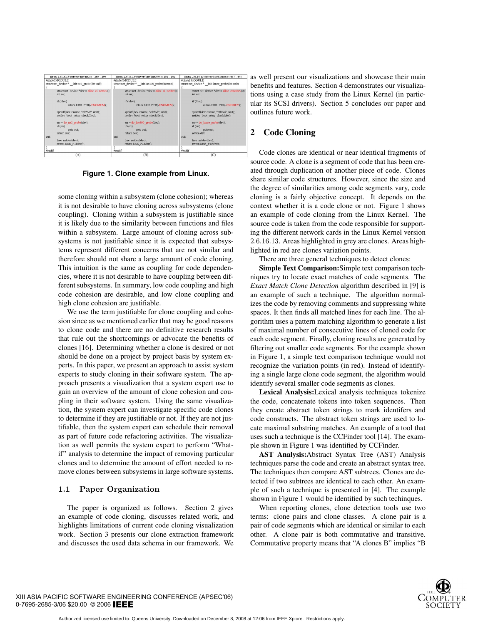|                                              | linux-2.6.16.13 drivers net ne2.c: 285 - 295              |        | linux-2.6.16.13\drivers\net\lne390.c: 152 - 162         |        | linux-2.6.16.13\drivers\net\lance.c: 437 - 447            |
|----------------------------------------------|-----------------------------------------------------------|--------|---------------------------------------------------------|--------|-----------------------------------------------------------|
| #ifndef MODULE                               |                                                           |        | #ifndef MODULE                                          |        | #ifndef MODULE                                            |
| struct net device * init ne2 probe(int unit) |                                                           |        | struct net device * init lne390 probe(int unit)         |        | struct net device * init lance probe(int unit)            |
|                                              | struct net device *dev = $alloc$ ei netdev();<br>int err; |        | struct net device *dev = alloc ei netdev();<br>int err: |        | struct net device *dev = $alloc$ etherdev(0);<br>int err: |
|                                              | if (!dev)                                                 |        | if (!dev)                                               |        | if (!dev)                                                 |
|                                              | return ERR PTR(-ENOMEM):                                  |        | return ERR PTR(-ENOMEM):                                |        | return ERR PTR(-ENODEV):                                  |
|                                              | sprintf(dev->name, "eth%d", unit);                        |        | sprintf(dev->name, "eth%d", unit);                      |        | sprintf(dev->name, "eth%d", unit);                        |
|                                              | netdev boot setup check(dev);                             |        | netdev boot setup check(dev);                           |        | netdev boot setup check(dev);                             |
|                                              | $err = do$ ne2 probe(dev):                                |        | $err = do$ lne390 probe(dev):                           |        | $err = do$ lance probe(dev);                              |
|                                              | if (err)                                                  |        | if (err)                                                |        | if (err)                                                  |
|                                              | goto out:                                                 |        | goto out:                                               |        | goto out:                                                 |
|                                              | return dev;                                               |        | return dev;                                             |        | return dev;                                               |
| out:                                         |                                                           | out    |                                                         | out    |                                                           |
|                                              | free netdev(dev);                                         |        | free netdev(dev);                                       |        | free netdev(dev):                                         |
|                                              | return ERR PTR(err);                                      |        | return ERR PTR(err):                                    |        | return ERR PTR(err);                                      |
|                                              |                                                           |        |                                                         |        |                                                           |
| #endif                                       |                                                           | #endif |                                                         | #endif |                                                           |
|                                              | (A)                                                       |        | (B)                                                     |        | (C)                                                       |

**Figure 1. Clone example from Linux.**

some cloning within a subsystem (clone cohesion); whereas it is not desirable to have cloning across subsystems (clone coupling). Cloning within a subsystem is justifiable since it is likely due to the similarity between functions and files within a subsystem. Large amount of cloning across subsystems is not justifiable since it is expected that subsystems represent different concerns that are not similar and therefore should not share a large amount of code cloning. This intuition is the same as coupling for code dependencies, where it is not desirable to have coupling between different subsystems. In summary, low code coupling and high code cohesion are desirable, and low clone coupling and high clone cohesion are justifiable.

We use the term justifiable for clone coupling and cohesion since as we mentioned earlier that may be good reasons to clone code and there are no definitive research results that rule out the shortcomings or advocate the benefits of clones [16]. Determining whether a clone is desired or not should be done on a project by project basis by system experts. In this paper, we present an approach to assist system experts to study cloning in their software system. The approach presents a visualization that a system expert use to gain an overview of the amount of clone cohesion and coupling in their software system. Using the same visualization, the system expert can investigate specific code clones to determine if they are justifiable or not. If they are not justifiable, then the system expert can schedule their removal as part of future code refactoring activities. The visualization as well permits the system expert to perform "Whatif" analysis to determine the impact of removing particular clones and to determine the amount of effort needed to remove clones between subsystems in large software systems.

# **1.1 Paper Organization**

The paper is organized as follows. Section 2 gives an example of code cloning, discusses related work, and highlights limitations of current code cloning visualization work. Section 3 presents our clone extraction framework and discusses the used data schema in our framework. We as well present our visualizations and showcase their main benefits and features. Section 4 demonstrates our visualizations using a case study from the Linux Kernel (in particular its SCSI drivers). Section 5 concludes our paper and outlines future work.

### **2 Code Cloning**

Code clones are identical or near identical fragments of source code. A clone is a segment of code that has been created through duplication of another piece of code. Clones share similar code structures. However, since the size and the degree of similarities among code segments vary, code cloning is a fairly objective concept. It depends on the context whether it is a code clone or not. Figure 1 shows an example of code cloning from the Linux Kernel. The source code is taken from the code responsible for supporting the different network cards in the Linux Kernel version 2*.*6*.*16*.*13. Areas highlighted in grey are clones. Areas highlighted in red are clones variation points.

There are three general techniques to detect clones:

**Simple Text Comparison:**Simple text comparison techniques try to locate exact matches of code segments. The *Exact Match Clone Detection* algorithm described in [9] is an example of such a technique. The algorithm normalizes the code by removing comments and suppressing white spaces. It then finds all matched lines for each line. The algorithm uses a pattern matching algorithm to generate a list of maximal number of consecutive lines of cloned code for each code segment. Finally, cloning results are generated by filtering out smaller code segments. For the example shown in Figure 1, a simple text comparison technique would not recognize the variation points (in red). Instead of identifying a single large clone code segment, the algorithm would identify several smaller code segments as clones.

**Lexical Analysis:**Lexical analysis techniques tokenize the code, concatenate tokens into token sequences. Then they create abstract token strings to mark identifers and code constructs. The abstract token strings are used to locate maximal substring matches. An example of a tool that uses such a technique is the CCFinder tool [14]. The example shown in Figure 1 was identified by CCFinder.

**AST Analysis:**Abstract Syntax Tree (AST) Analysis techniques parse the code and create an abstract syntax tree. The techniques then compare AST subtrees. Clones are detected if two subtrees are identical to each other. An example of such a technique is presented in [4]. The example shown in Figure 1 would be identified by such techinques.

When reporting clones, clone detection tools use two terms: clone pairs and clone classes. A clone pair is a pair of code segments which are identical or similar to each other. A clone pair is both commutative and transitive. Commutative property means that "A clones B" implies "B

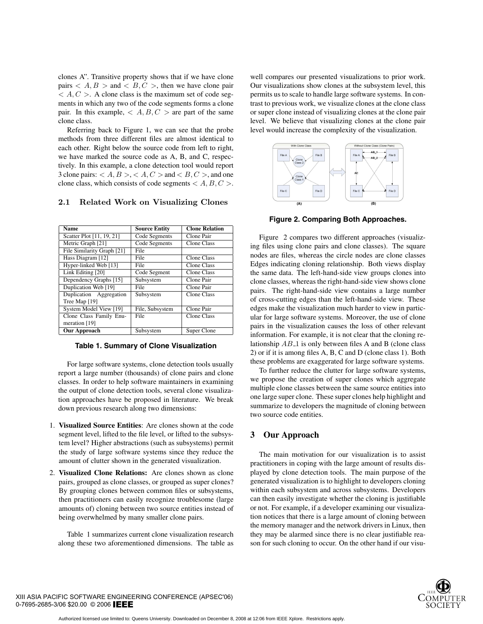clones A". Transitive property shows that if we have clone pairs  $\langle A, B \rangle$  and  $\langle B, C \rangle$ , then we have clone pair  $\langle A, C \rangle$ . A clone class is the maximum set of code segments in which any two of the code segments forms a clone pair. In this example,  $\langle A, B, C \rangle$  are part of the same clone class.

Referring back to Figure 1, we can see that the probe methods from three different files are almost identical to each other. Right below the source code from left to right, we have marked the source code as A, B, and C, respectively. In this example, a clone detection tool would report 3 clone pairs:  $\langle A, B \rangle$ ,  $\langle A, C \rangle$  and  $\langle B, C \rangle$ , and one clone class, which consists of code segments *< A, B, C >*.

#### **2.1 Related Work on Visualizing Clones**

| Name                       | <b>Source Entity</b> | <b>Clone Relation</b> |
|----------------------------|----------------------|-----------------------|
| Scatter Plot [11, 19, 21]  | Code Segments        | Clone Pair            |
| Metric Graph [21]          | Code Segments        | Clone Class           |
| File Similarity Graph [21] | File                 |                       |
| Hass Diagram [12]          | File                 | Clone Class           |
| Hyper-linked Web [13]      | File                 | Clone Class           |
| Link Editing [20]          | Code Segment         | Clone Class           |
| Dependency Graphs [15]     | Subsystem            | Clone Pair            |
| Duplication Web [19]       | File                 | Clone Pair            |
| Duplication Aggregation    | Subsystem            | Clone Class           |
| Tree Map [19]              |                      |                       |
| System Model View [19]     | File, Subsystem      | Clone Pair            |
| Clone Class Family Enu-    | File                 | Clone Class           |
| meration [19]              |                      |                       |
| <b>Our Approach</b>        | Subsystem            | Super Clone           |

**Table 1. Summary of Clone Visualization**

For large software systems, clone detection tools usually report a large number (thousands) of clone pairs and clone classes. In order to help software maintainers in examining the output of clone detection tools, several clone visualization approaches have be proposed in literature. We break down previous research along two dimensions:

- 1. **Visualized Source Entities**: Are clones shown at the code segment level, lifted to the file level, or lifted to the subsystem level? Higher abstractions (such as subsystems) permit the study of large software systems since they reduce the amount of clutter shown in the generated visualization.
- 2. **Visualized Clone Relations:** Are clones shown as clone pairs, grouped as clone classes, or grouped as super clones? By grouping clones between common files or subsystems, then practitioners can easily recognize troublesome (large amounts of) cloning between two source entities instead of being overwhelmed by many smaller clone pairs.

Table 1 summarizes current clone visualization research along these two aforementioned dimensions. The table as

well compares our presented visualizations to prior work. Our visualizations show clones at the subsystem level, this permits us to scale to handle large software systems. In contrast to previous work, we visualize clones at the clone class or super clone instead of visualizing clones at the clone pair level. We believe that visualizing clones at the clone pair level would increase the complexity of the visualization.



**Figure 2. Comparing Both Approaches.**

Figure 2 compares two different approaches (visualizing files using clone pairs and clone classes). The square nodes are files, whereas the circle nodes are clone classes Edges indicating cloning relationship. Both views display the same data. The left-hand-side view groups clones into clone classes, whereas the right-hand-side view shows clone pairs. The right-hand-side view contains a large number of cross-cutting edges than the left-hand-side view. These edges make the visualization much harder to view in particular for large software systems. Moreover, the use of clone pairs in the visualization causes the loss of other relevant information. For example, it is not clear that the cloning relationship *AB*<sub>-1</sub> is only between files A and B (clone class 2) or if it is among files A, B, C and D (clone class 1). Both these problems are exaggerated for large software systems.

To further reduce the clutter for large software systems, we propose the creation of super clones which aggregate multiple clone classes between the same source entities into one large super clone. These super clones help highlight and summarize to developers the magnitude of cloning between two source code entities.

# **3 Our Approach**

The main motivation for our visualization is to assist practitioners in coping with the large amount of results displayed by clone detection tools. The main purpose of the generated visualization is to highlight to developers cloning within each subsystem and across subsystems. Developers can then easily investigate whether the cloning is justifiable or not. For example, if a developer examining our visualization notices that there is a large amount of cloning between the memory manager and the network drivers in Linux, then they may be alarmed since there is no clear justifiable reason for such cloning to occur. On the other hand if our visu-

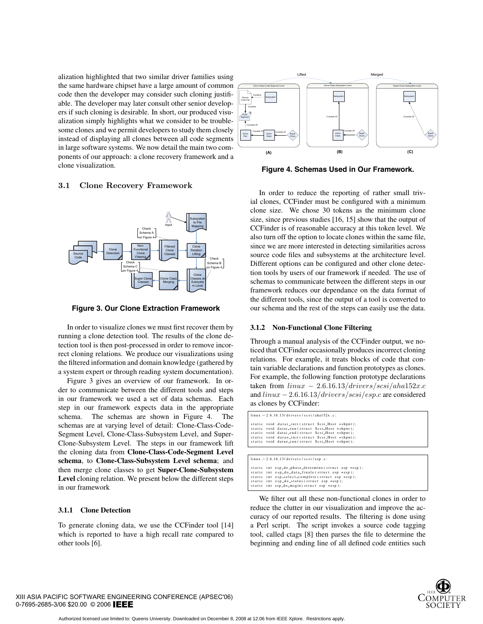alization highlighted that two similar driver families using the same hardware chipset have a large amount of common code then the developer may consider such cloning justifiable. The developer may later consult other senior developers if such cloning is desirable. In short, our produced visualization simply highlights what we consider to be troublesome clones and we permit developers to study them closely instead of displaying all clones between all code segments in large software systems. We now detail the main two components of our approach: a clone recovery framework and a clone visualization.



**Figure 4. Schemas Used in Our Framework.**

# **3.1 Clone Recovery Framework**



**Figure 3. Our Clone Extraction Framework**

In order to visualize clones we must first recover them by running a clone detection tool. The results of the clone detection tool is then post-processed in order to remove incorrect cloning relations. We produce our visualizations using the filtered information and domain knowledge (gathered by a system expert or through reading system documentation).

Figure 3 gives an overview of our framework. In order to communicate between the different tools and steps in our framework we used a set of data schemas. Each step in our framework expects data in the appropriate schema. The schemas are shown in Figure 4. The The schemas are shown in Figure 4. The schemas are at varying level of detail: Clone-Class-Code-Segment Level, Clone-Class-Subsystem Level, and Super-Clone-Subsystem Level. The steps in our framework lift the cloning data from **Clone-Class-Code-Segment Level schema**, to **Clone-Class-Subsystem Level schema**; and then merge clone classes to get **Super-Clone-Subsystem Level** cloning relation. We present below the different steps in our framework

#### **3.1.1 Clone Detection**

To generate cloning data, we use the CCFinder tool [14] which is reported to have a high recall rate compared to other tools [6].

In order to reduce the reporting of rather small trivial clones, CCFinder must be configured with a minimum clone size. We chose 30 tokens as the minimum clone size, since previous studies [16, 15] show that the output of CCFinder is of reasonable accuracy at this token level. We also turn off the option to locate clones within the same file, since we are more interested in detecting similarities across source code files and subsystems at the architecture level. Different options can be configured and other clone detection tools by users of our framework if needed. The use of schemas to communicate between the different steps in our framework reduces our dependance on the data format of the different tools, since the output of a tool is converted to our schema and the rest of the steps can easily use the data.

#### **3.1.2 Non-Functional Clone Filtering**

Through a manual analysis of the CCFinder output, we noticed that CCFinder occasionally produces incorrect cloning relations. For example, it treats blocks of code that contain variable declarations and function prototypes as clones. For example, the following function prototype declarations taken from *linux <sup>−</sup>* <sup>2</sup>*.*6*.*16*.*13*/drivers/scsi/aha*152*x.c* and *linux <sup>−</sup>* <sup>2</sup>*.*6*.*16*.*13*/drivers/scsi/esp.c* are considered as clones by CCFinder:

|  | $\lim_{x \to 2}$ .6.16.13/drivers/scsi/aha152x.c.                                                     |
|--|-------------------------------------------------------------------------------------------------------|
|  | static void datai_init(struct Scsi_Host *shpnt);<br>static void datai_run(struct Scsi_Host *shpnt);   |
|  | static void datai_end(struct Scsi_Host *shpnt);                                                       |
|  | static void datao-init (struct Scsi-Host *shpnt);<br>static void datao-run (struct Scsi-Host *shpnt); |

linux −2.6.16.13/ dri vers / scsi / esp . c:

```
static int esp_do_phase_determine ( struct esp ∗esp);<br>static int esp_do_data_finale ( struct esp ∗esp);
static int esp_do_data_finale(struct esp ∗esp);<br>static int esp_select_complete(struct esp ∗esp);
static int esp_do_status(struct esp ∗esp);<br>static int esp_do_msgin(struct esp ∗esp);
```
We filter out all these non-functional clones in order to reduce the clutter in our visualization and improve the accuracy of our reported results. The filtering is done using a Perl script. The script invokes a source code tagging tool, called ctags [8] then parses the file to determine the beginning and ending line of all defined code entities such

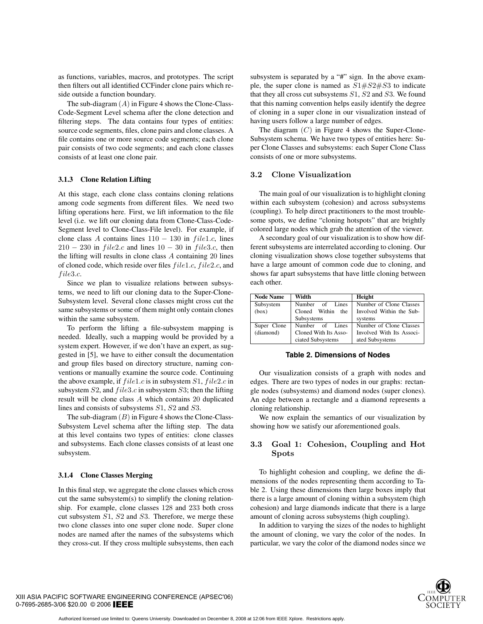as functions, variables, macros, and prototypes. The script then filters out all identified CCFinder clone pairs which reside outside a function boundary.

The sub-diagram  $(A)$  in Figure 4 shows the Clone-Class-Code-Segment Level schema after the clone detection and filtering steps. The data contains four types of entities: source code segments, files, clone pairs and clone classes. A file contains one or more source code segments; each clone pair consists of two code segments; and each clone classes consists of at least one clone pair.

# **3.1.3 Clone Relation Lifting**

At this stage, each clone class contains cloning relations among code segments from different files. We need two lifting operations here. First, we lift information to the file level (i.e. we lift our cloning data from Clone-Class-Code-Segment level to Clone-Class-File level). For example, if clone class *<sup>A</sup>* contains lines <sup>110</sup> *<sup>−</sup>* <sup>130</sup> in *f ile*1*.c*, lines <sup>210</sup> *<sup>−</sup>* <sup>230</sup> in *f ile*2*.c* and lines <sup>10</sup> *<sup>−</sup>* <sup>30</sup> in *f ile*3*.c*, then the lifting will results in clone class *A* containing 20 lines of cloned code, which reside over files *f ile*1*.c*, *f ile*2*.c*, and *f ile*3*.c*.

Since we plan to visualize relations between subsystems, we need to lift our cloning data to the Super-Clone-Subsystem level. Several clone classes might cross cut the same subsystems or some of them might only contain clones within the same subsystem.

To perform the lifting a file-subsystem mapping is needed. Ideally, such a mapping would be provided by a system expert. However, if we don't have an expert, as suggested in [5], we have to either consult the documentation and group files based on directory structure, naming conventions or manually examine the source code. Continuing the above example, if *f ile*1*.c* is in subsystem *S*1, *f ile*2*.c* in subsystem *S*2, and *f ile*3*.c* in subsystem *S*3; then the lifting result will be clone class *A* which contains 20 duplicated lines and consists of subsystems *S*1, *S*2 and *S*3.

The sub-diagram (*B*) in Figure 4 shows the Clone-Class-Subsystem Level schema after the lifting step. The data at this level contains two types of entities: clone classes and subsystems. Each clone classes consists of at least one subsystem.

### **3.1.4 Clone Classes Merging**

In this final step, we aggregate the clone classes which cross cut the same subsystem(s) to simplify the cloning relationship. For example, clone classes 128 and 233 both cross cut subsystem *S*1, *S*2 and *S*3. Therefore, we merge these two clone classes into one super clone node. Super clone nodes are named after the names of the subsystems which they cross-cut. If they cross multiple subsystems, then each subsystem is separated by a "#" sign. In the above example, the super clone is named as *S*1#*S*2#*S*3 to indicate that they all cross cut subsystems *S*1, *S*2 and *S*3. We found that this naming convention helps easily identify the degree of cloning in a super clone in our visualization instead of having users follow a large number of edges.

The diagram  $(C)$  in Figure 4 shows the Super-Clone-Subsystem schema. We have two types of entities here: Super Clone Classes and subsystems: each Super Clone Class consists of one or more subsystems.

### **3.2 Clone Visualization**

The main goal of our visualization is to highlight cloning within each subsystem (cohesion) and across subsystems (coupling). To help direct practitioners to the most troublesome spots, we define "cloning hotspots" that are brightly colored large nodes which grab the attention of the viewer.

A secondary goal of our visualization is to show how different subsystems are interrelated according to cloning. Our cloning visualization shows close together subsystems that have a large amount of common code due to cloning, and shows far apart subsystems that have little cloning between each other.

| <b>Node Name</b>  | Width                 | Height                    |
|-------------------|-----------------------|---------------------------|
| Subsystem         | Number of<br>Lines    | Number of Clone Classes   |
| (box)             | Cloned Within the     | Involved Within the Sub-  |
|                   | Subsystems            | systems                   |
| Super Clone       | Number of<br>Lines    | Number of Clone Classes   |
| (diamond)         | Cloned With Its Asso- | Involved With Its Associ- |
| ciated Subsystems |                       | ated Subsystems           |

#### **Table 2. Dimensions of Nodes**

Our visualization consists of a graph with nodes and edges. There are two types of nodes in our graphs: rectangle nodes (subsystems) and diamond nodes (super clones). An edge between a rectangle and a diamond represents a cloning relationship.

We now explain the semantics of our visualization by showing how we satisfy our aforementioned goals.

### **3.3 Goal 1: Cohesion, Coupling and Hot Spots**

To highlight cohesion and coupling, we define the dimensions of the nodes representing them according to Table 2. Using these dimensions then large boxes imply that there is a large amount of cloning within a subsystem (high cohesion) and large diamonds indicate that there is a large amount of cloning across subsystems (high coupling).

In addition to varying the sizes of the nodes to highlight the amount of cloning, we vary the color of the nodes. In particular, we vary the color of the diamond nodes since we

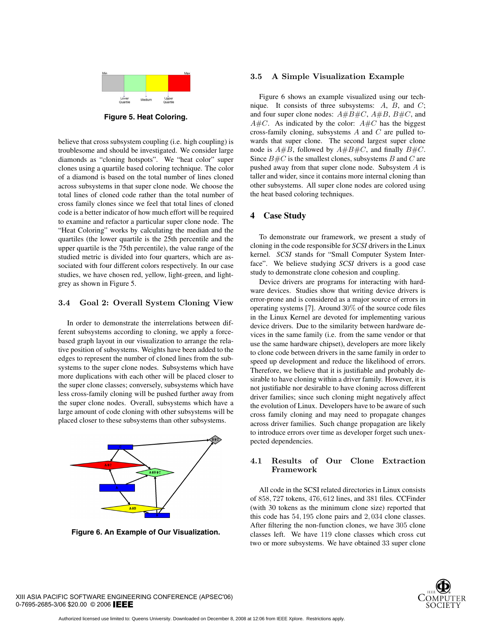

**Figure 5. Heat Coloring.**

believe that cross subsystem coupling (i.e. high coupling) is troublesome and should be investigated. We consider large diamonds as "cloning hotspots". We "heat color" super clones using a quartile based coloring technique. The color of a diamond is based on the total number of lines cloned across subsystems in that super clone node. We choose the total lines of cloned code rather than the total number of cross family clones since we feel that total lines of cloned code is a better indicator of how much effort will be required to examine and refactor a particular super clone node. The "Heat Coloring" works by calculating the median and the quartiles (the lower quartile is the 25th percentile and the upper quartile is the 75th percentile), the value range of the studied metric is divided into four quarters, which are associated with four different colors respectively. In our case studies, we have chosen red, yellow, light-green, and lightgrey as shown in Figure 5.

### **3.4 Goal 2: Overall System Cloning View**

In order to demonstrate the interrelations between different subsystems according to cloning, we apply a forcebased graph layout in our visualization to arrange the relative position of subsystems. Weights have been added to the edges to represent the number of cloned lines from the subsystems to the super clone nodes. Subsystems which have more duplications with each other will be placed closer to the super clone classes; conversely, subsystems which have less cross-family cloning will be pushed further away from the super clone nodes. Overall, subsystems which have a large amount of code cloning with other subsystems will be placed closer to these subsystems than other subsystems.



**Figure 6. An Example of Our Visualization.**

### **3.5 A Simple Visualization Example**

Figure 6 shows an example visualized using our technique. It consists of three subsystems: *A*, *B*, and *C*; and four super clone nodes: *A*#*B*#*C*, *A*#*B*, *B*#*C*, and  $A \# C$ . As indicated by the color:  $A \# C$  has the biggest cross-family cloning, subsystems *A* and *C* are pulled towards that super clone. The second largest super clone node is  $A \# B$ , followed by  $A \# B \# C$ , and finally  $B \# C$ . Since *B*#*C* is the smallest clones, subsystems *B* and *C* are pushed away from that super clone node. Subsystem *A* is taller and wider, since it contains more internal cloning than other subsystems. All super clone nodes are colored using the heat based coloring techniques.

# **4 Case Study**

To demonstrate our framework, we present a study of cloning in the code responsible for *SCSI* drivers in the Linux kernel. *SCSI* stands for "Small Computer System Interface". We believe studying *SCSI* drivers is a good case study to demonstrate clone cohesion and coupling.

Device drivers are programs for interacting with hardware devices. Studies show that writing device drivers is error-prone and is considered as a major source of errors in operating systems [7]. Around 30% of the source code files in the Linux Kernel are devoted for implementing various device drivers. Due to the similarity between hardware devices in the same family (i.e. from the same vendor or that use the same hardware chipset), developers are more likely to clone code between drivers in the same family in order to speed up development and reduce the likelihood of errors. Therefore, we believe that it is justifiable and probably desirable to have cloning within a driver family. However, it is not justifiable nor desirable to have cloning across different driver families; since such cloning might negatively affect the evolution of Linux. Developers have to be aware of such cross family cloning and may need to propagate changes across driver families. Such change propagation are likely to introduce errors over time as developer forget such unexpected dependencies.

### **4.1 Results of Our Clone Extraction Framework**

All code in the SCSI related directories in Linux consists of 858*,* 727 tokens, 476*,* 612 lines, and 381 files. CCFinder (with 30 tokens as the minimum clone size) reported that this code has 54*,* 195 clone pairs and 2*,* 034 clone classes. After filtering the non-function clones, we have 305 clone classes left. We have 119 clone classes which cross cut two or more subsystems. We have obtained 33 super clone

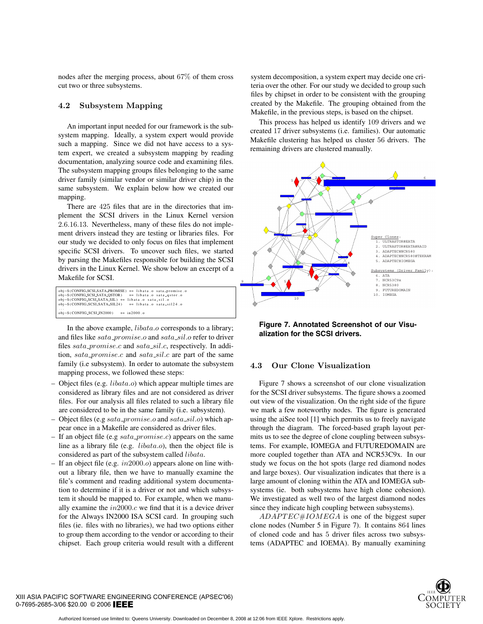nodes after the merging process, about 67% of them cross cut two or three subsystems.

### **4.2 Subsystem Mapping**

An important input needed for our framework is the subsystem mapping. Ideally, a system expert would provide such a mapping. Since we did not have access to a system expert, we created a subsystem mapping by reading documentation, analyzing source code and examining files. The subsystem mapping groups files belonging to the same driver family (similar vendor or similar driver chip) in the same subsystem. We explain below how we created our mapping.

There are 425 files that are in the directories that implement the SCSI drivers in the Linux Kernel version 2*.*6*.*16*.*13. Nevertheless, many of these files do not implement drivers instead they are testing or libraries files. For our study we decided to only focus on files that implement specific SCSI drivers. To uncover such files, we started by parsing the Makefiles responsible for building the SCSI drivers in the Linux Kernel. We show below an excerpt of a Makefile for SCSI.

```
obj−$ (CONFIG SCSI SATA PROMISE) += libata .o sata promise .o<br>obj−$ (CONFIG SCSI SATA QSTOR) += libata .o sata qstor .o<br>obj−$ (CONFIG SCSI SATA SIL) += libata .o sata sil .o
 obj−$ (CONFIG SCSI SATA QSTOR) += libata .o sata_qstor .o<br>obj−$ (CONFIG SCSI SATA SIL) += libata .o sata_sil .o
obj−$ (CONFIG SCSI SATA SIL24 ) += libata .o sata sil24 .o
 ...
obj−$ (CONFIG SCSI IN2000 ) += in2000 . o
```
In the above example, *libata.o* corresponds to a library; and files like *sata promise.o* and *sata sil.o* refer to driver files *sata promise.c* and *sata sil.c*, respectively. In addition, *sata promise.c* and *sata sil.c* are part of the same family (i.e subsystem). In order to automate the subsystem mapping process, we followed these steps:

- Object files (e.g. *libata.o*) which appear multiple times are considered as library files and are not considered as driver files. For our analysis all files related to such a library file are considered to be in the same family (i.e. subsystem).
- Object files (e.g *sata promise.o* and *sata sil.o*) which appear once in a Makefile are considered as driver files.
- If an object file (e.g *sata promise.c*) appears on the same line as a library file (e.g. *libata.o*), then the object file is considered as part of the subsystem called *libata*.
- If an object file (e.g. *in*2000*.o*) appears alone on line without a library file, then we have to manually examine the file's comment and reading additional system documentation to determine if it is a driver or not and which subsystem it should be mapped to. For example, when we manually examine the *in*2000*.c* we find that it is a device driver for the Always IN2000 ISA SCSI card. In grouping such files (ie. files with no libraries), we had two options either to group them according to the vendor or according to their chipset. Each group criteria would result with a different

system decomposition, a system expert may decide one criteria over the other. For our study we decided to group such files by chipset in order to be consistent with the grouping created by the Makefile. The grouping obtained from the Makefile, in the previous steps, is based on the chipset.

This process has helped us identify 109 drivers and we created 17 driver subsystems (i.e. families). Our automatic Makefile clustering has helped us cluster 56 drivers. The remaining drivers are clustered manually.



**Figure 7. Annotated Screenshot of our Visualization for the SCSI drivers.**

# **4.3 Our Clone Visualization**

Figure 7 shows a screenshot of our clone visualization for the SCSI driver subsystems. The figure shows a zoomed out view of the visualization. On the right side of the figure we mark a few noteworthy nodes. The figure is generated using the aiSee tool [1] which permits us to freely navigate through the diagram. The forced-based graph layout permits us to see the degree of clone coupling between subsystems. For example, IOMEGA and FUTUREDOMAIN are more coupled together than ATA and NCR53C9x. In our study we focus on the hot spots (large red diamond nodes and large boxes). Our visualization indicates that there is a large amount of cloning within the ATA and IOMEGA subsystems (ie. both subsystems have high clone cohesion). We investigated as well two of the largest diamond nodes since they indicate high coupling between subsystems).

*ADAP T EC*#*IOMEGA* is one of the biggest super clone nodes (Number 5 in Figure 7). It contains 864 lines of cloned code and has 5 driver files across two subsystems (ADAPTEC and IOEMA). By manually examining